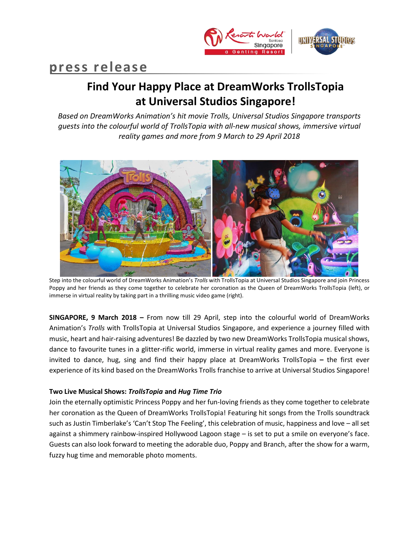

# **press release**

## **Find Your Happy Place at DreamWorks TrollsTopia at Universal Studios Singapore!**

*Based on DreamWorks Animation's hit movie Trolls, Universal Studios Singapore transports guests into the colourful world of TrollsTopia with all-new musical shows, immersive virtual reality games and more from 9 March to 29 April 2018*



Step into the colourful world of DreamWorks Animation's *Trolls* with TrollsTopia at Universal Studios Singapore and join Princess Poppy and her friends as they come together to celebrate her coronation as the Queen of DreamWorks TrollsTopia (left), or immerse in virtual reality by taking part in a thrilling music video game (right).

**SINGAPORE, 9 March 2018 –** From now till 29 April, step into the colourful world of DreamWorks Animation's *Trolls* with TrollsTopia at Universal Studios Singapore, and experience a journey filled with music, heart and hair-raising adventures! Be dazzled by two new DreamWorks TrollsTopia musical shows, dance to favourite tunes in a glitter-rific world, immerse in virtual reality games and more. Everyone is invited to dance, hug, sing and find their happy place at DreamWorks TrollsTopia **–** the first ever experience of its kind based on the DreamWorks Trolls franchise to arrive at Universal Studios Singapore!

## **Two Live Musical Shows:** *TrollsTopia* **and** *Hug Time Trio*

Join the eternally optimistic Princess Poppy and her fun-loving friends as they come together to celebrate her coronation as the Queen of DreamWorks TrollsTopia! Featuring hit songs from the Trolls soundtrack such as Justin Timberlake's 'Can't Stop The Feeling', this celebration of music, happiness and love – all set against a shimmery rainbow-inspired Hollywood Lagoon stage – is set to put a smile on everyone's face. Guests can also look forward to meeting the adorable duo, Poppy and Branch, after the show for a warm, fuzzy hug time and memorable photo moments.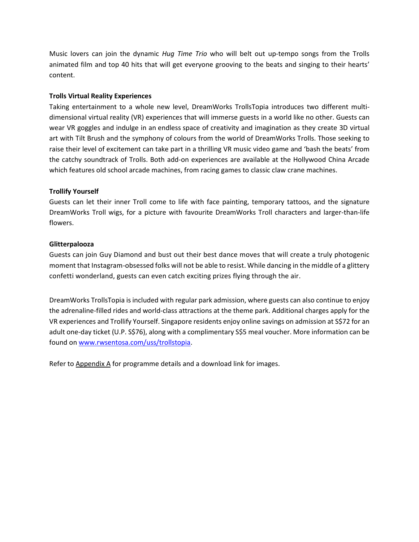Music lovers can join the dynamic *Hug Time Trio* who will belt out up-tempo songs from the Trolls animated film and top 40 hits that will get everyone grooving to the beats and singing to their hearts' content.

## **Trolls Virtual Reality Experiences**

Taking entertainment to a whole new level, DreamWorks TrollsTopia introduces two different multidimensional virtual reality (VR) experiences that will immerse guests in a world like no other. Guests can wear VR goggles and indulge in an endless space of creativity and imagination as they create 3D virtual art with Tilt Brush and the symphony of colours from the world of DreamWorks Trolls. Those seeking to raise their level of excitement can take part in a thrilling VR music video game and 'bash the beats' from the catchy soundtrack of Trolls. Both add-on experiences are available at the Hollywood China Arcade which features old school arcade machines, from racing games to classic claw crane machines.

## **Trollify Yourself**

Guests can let their inner Troll come to life with face painting, temporary tattoos, and the signature DreamWorks Troll wigs, for a picture with favourite DreamWorks Troll characters and larger-than-life flowers.

### **Glitterpalooza**

Guests can join Guy Diamond and bust out their best dance moves that will create a truly photogenic moment that Instagram-obsessed folks will not be able to resist. While dancing in the middle of a glittery confetti wonderland, guests can even catch exciting prizes flying through the air.

DreamWorks TrollsTopia is included with regular park admission, where guests can also continue to enjoy the adrenaline-filled rides and world-class attractions at the theme park. Additional charges apply for the VR experiences and Trollify Yourself. Singapore residents enjoy online savings on admission at S\$72 for an adult one-day ticket (U.P. S\$76), along with a complimentary S\$5 meal voucher. More information can be found on [www.rwsentosa.com/uss/trollstopia.](http://www.rwsentosa.com/uss/trollstopia)

Refer to Appendix A for programme details and a download link for images.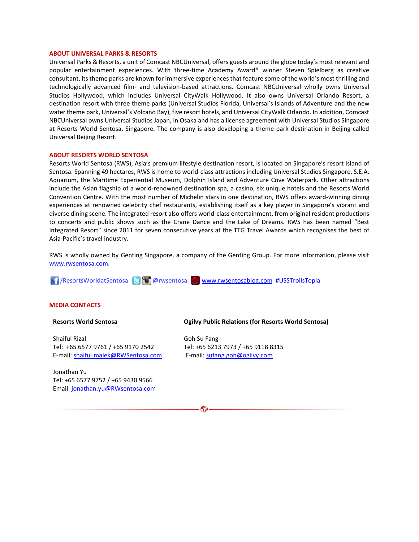#### **ABOUT UNIVERSAL PARKS & RESORTS**

Universal Parks & Resorts, a unit of Comcast NBCUniversal, offers guests around the globe today's most relevant and popular entertainment experiences. With three-time Academy Award® winner Steven Spielberg as creative consultant, its theme parks are known for immersive experiences that feature some of the world's most thrilling and technologically advanced film- and television-based attractions. Comcast NBCUniversal wholly owns Universal Studios Hollywood, which includes Universal CityWalk Hollywood. It also owns Universal Orlando Resort, a destination resort with three theme parks (Universal Studios Florida, Universal's Islands of Adventure and the new water theme park, Universal's Volcano Bay), five resort hotels, and Universal CityWalk Orlando. In addition, Comcast NBCUniversal owns Universal Studios Japan, in Osaka and has a license agreement with Universal Studios Singapore at Resorts World Sentosa, Singapore. The company is also developing a theme park destination in Beijing called Universal Beijing Resort.

#### **ABOUT RESORTS WORLD SENTOSA**

Resorts World Sentosa (RWS), Asia's premium lifestyle destination resort, is located on Singapore's resort island of Sentosa. Spanning 49 hectares, RWS is home to world-class attractions including Universal Studios Singapore, S.E.A. Aquarium, the Maritime Experiential Museum, Dolphin Island and Adventure Cove Waterpark. Other attractions include the Asian flagship of a world-renowned destination spa, a casino, six unique hotels and the Resorts World Convention Centre. With the most number of Michelin stars in one destination, RWS offers award-winning dining experiences at renowned celebrity chef restaurants, establishing itself as a key player in Singapore's vibrant and diverse dining scene. The integrated resort also offers world-class entertainment, from original resident productions to concerts and public shows such as the Crane Dance and the Lake of Dreams. RWS has been named "Best Integrated Resort" since 2011 for seven consecutive years at the TTG Travel Awards which recognises the best of Asia-Pacific's travel industry.

RWS is wholly owned by Genting Singapore, a company of the Genting Group. For more information, please visit [www.rwsentosa.com.](http://www.rwsentosa.com/)

/ResortsWorldatSentosa @rwsentosa [www.rwsentosablog.com](http://www.rwsentosablog.com/) #USSTrollsTopia

#### **MEDIA CONTACTS**

#### **Resorts World Sentosa**

Shaiful Rizal Tel: +65 6577 9761 / +65 9170 2542 E-mail[: shaiful.malek@RWSentosa.com](mailto:shaiful.malek@RWSentosa.com)

Jonathan Yu Tel: +65 6577 9752 / +65 9430 9566 Email[: jonathan.yu@RWsentosa.com](file:///C:/Users/loolin.chua/AppData/Local/Microsoft/Windows/Temporary%20Internet%20Files/Content.Outlook/KPF1T9X7/jonathan.yu@RWsentosa.com)

#### **Ogilvy Public Relations (for Resorts World Sentosa)**

Goh Su Fang Tel: +65 6213 7973 / +65 9118 8315 E-mail: [sufang.goh@ogilvy.com](mailto:sufang.goh@ogilvy.com)

 $\mathbf{G}$